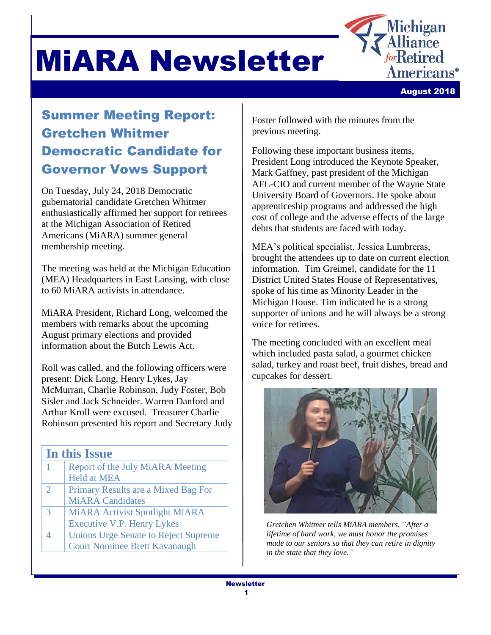



August 2018

### Summer Meeting Report: Gretchen Whitmer Democratic Candidate for Governor Vows Support

On Tuesday, July 24, 2018 Democratic gubernatorial candidate Gretchen Whitmer enthusiastically affirmed her support for retirees at the Michigan Association of Retired Americans (MiARA) summer general membership meeting.

The meeting was held at the Michigan Education (MEA) Headquarters in East Lansing, with close to 60 MiARA activists in attendance.

MiARA President, Richard Long, welcomed the members with remarks about the upcoming August primary elections and provided information about the Butch Lewis Act.

Roll was called, and the following officers were present: Dick Long, Henry Lykes, Jay McMurran, Charlie Robinson, Judy Foster, Bob Sisler and Jack Schneider. Warren Danford and Arthur Kroll were excused. Treasurer Charlie Robinson presented his report and Secretary Judy

#### **In this Issue**

|               | Report of the July MiARA Meeting            |
|---------------|---------------------------------------------|
|               | <b>Held at MEA</b>                          |
| $\mathcal{D}$ | Primary Results are a Mixed Bag For         |
|               | <b>MiARA</b> Candidates                     |
| 3             | <b>MiARA Activist Spotlight MiARA</b>       |
|               | <b>Executive V.P. Henry Lykes</b>           |
|               | <b>Unions Urge Senate to Reject Supreme</b> |
|               | <b>Court Nominee Brett Kavanaugh</b>        |
|               |                                             |

Foster followed with the minutes from the previous meeting.

Following these important business items, President Long introduced the Keynote Speaker, Mark Gaffney, past president of the Michigan AFL-CIO and current member of the Wayne State University Board of Governors. He spoke about apprenticeship programs and addressed the high cost of college and the adverse effects of the large debts that students are faced with today.

MEA's political specialist, Jessica Lumbreras, brought the attendees up to date on current election information. Tim Greimel, candidate for the 11 District United States House of Representatives, spoke of his time as Minority Leader in the Michigan House. Tim indicated he is a strong supporter of unions and he will always be a strong voice for retirees.

The meeting concluded with an excellent meal which included pasta salad, a gourmet chicken salad, turkey and roast beef, fruit dishes, bread and cupcakes for dessert.



*Gretchen Whitmer tells MiARA members, "After a lifetime of hard work, we must honor the promises made to our seniors so that they can retire in dignity in the state that they love."*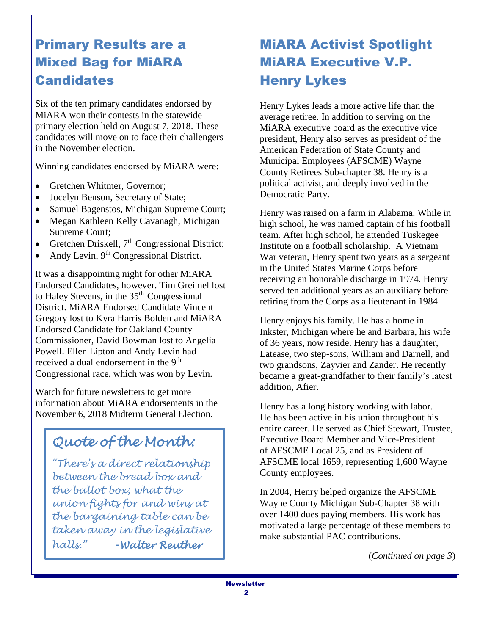### Primary Results are a Mixed Bag for MiARA **Candidates**

Six of the ten primary candidates endorsed by MiARA won their contests in the statewide primary election held on August 7, 2018. These candidates will move on to face their challengers in the November election.

Winning candidates endorsed by MiARA were:

- Gretchen Whitmer, Governor;
- Jocelyn Benson, Secretary of State;
- Samuel Bagenstos, Michigan Supreme Court;
- Megan Kathleen Kelly Cavanagh, Michigan Supreme Court;
- Gretchen Driskell,  $7<sup>th</sup>$  Congressional District;
- Andy Levin,  $9<sup>th</sup>$  Congressional District.

It was a disappointing night for other MiARA Endorsed Candidates, however. Tim Greimel lost to Haley Stevens, in the 35<sup>th</sup> Congressional District. MiARA Endorsed Candidate Vincent Gregory lost to Kyra Harris Bolden and MiARA Endorsed Candidate for Oakland County Commissioner, David Bowman lost to Angelia Powell. Ellen Lipton and Andy Levin had received a dual endorsement in the 9<sup>th</sup> Congressional race, which was won by Levin.

Watch for future newsletters to get more information about MiARA endorsements in the November 6, 2018 Midterm General Election.

# *Quote of the Month:*

*"There's a direct relationship between the bread box and the ballot box; what the union fights for and wins at the bargaining table can be taken away in the legislative halls."* **-***Walter Reuther*

### MiARA Activist Spotlight MiARA Executive V.P. Henry Lykes

Henry Lykes leads a more active life than the average retiree. In addition to serving on the MiARA executive board as the executive vice president, Henry also serves as president of the American Federation of State County and Municipal Employees (AFSCME) Wayne County Retirees Sub-chapter 38. Henry is a political activist, and deeply involved in the Democratic Party.

Henry was raised on a farm in Alabama. While in high school, he was named captain of his football team. After high school, he attended Tuskegee Institute on a football scholarship. A Vietnam War veteran, Henry spent two years as a sergeant in the United States Marine Corps before receiving an honorable discharge in 1974. Henry served ten additional years as an auxiliary before retiring from the Corps as a lieutenant in 1984.

Henry enjoys his family. He has a home in Inkster, Michigan where he and Barbara, his wife of 36 years, now reside. Henry has a daughter, Latease, two step-sons, William and Darnell, and two grandsons, Zayvier and Zander. He recently became a great-grandfather to their family's latest addition, Afier.

Henry has a long history working with labor. He has been active in his union throughout his entire career. He served as Chief Stewart, Trustee, Executive Board Member and Vice-President of AFSCME Local 25, and as President of AFSCME local 1659, representing 1,600 Wayne County employees.

In 2004, Henry helped organize the AFSCME Wayne County Michigan Sub-Chapter 38 with over 1400 dues paying members. His work has motivated a large percentage of these members to make substantial PAC contributions.

(*Continued on page 3*)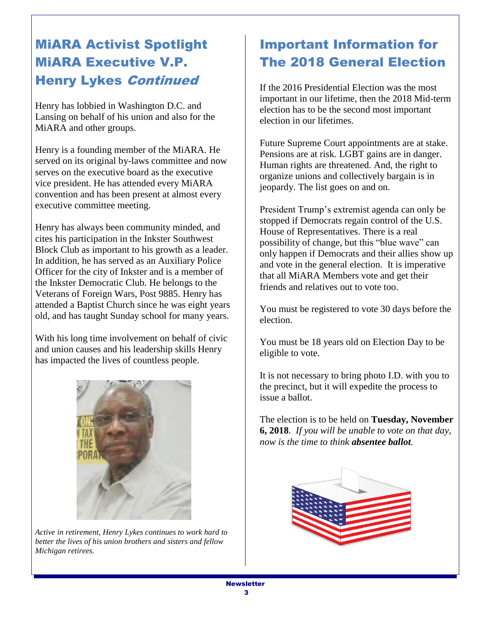### MiARA Activist Spotlight MiARA Executive V.P. Henry Lykes Continued

Henry has lobbied in Washington D.C. and Lansing on behalf of his union and also for the MiARA and other groups.

Henry is a founding member of the MiARA. He served on its original by-laws committee and now serves on the executive board as the executive vice president. He has attended every MiARA convention and has been present at almost every executive committee meeting.

Henry has always been community minded, and cites his participation in the Inkster Southwest Block Club as important to his growth as a leader. In addition, he has served as an Auxiliary Police Officer for the city of Inkster and is a member of the Inkster Democratic Club. He belongs to the Veterans of Foreign Wars, Post 9885. Henry has attended a Baptist Church since he was eight years old, and has taught Sunday school for many years.

With his long time involvement on behalf of civic and union causes and his leadership skills Henry has impacted the lives of countless people.



*Active in retirement, Henry Lykes continues to work hard to better the lives of his union brothers and sisters and fellow Michigan retirees.*

#### Important Information for The 2018 General Election

If the 2016 Presidential Election was the most important in our lifetime, then the 2018 Mid-term election has to be the second most important election in our lifetimes.

Future Supreme Court appointments are at stake. Pensions are at risk. LGBT gains are in danger. Human rights are threatened. And, the right to organize unions and collectively bargain is in jeopardy. The list goes on and on.

President Trump's extremist agenda can only be stopped if Democrats regain control of the U.S. House of Representatives. There is a real possibility of change, but this "blue wave" can only happen if Democrats and their allies show up and vote in the general election. It is imperative that all MiARA Members vote and get their friends and relatives out to vote too.

You must be registered to vote 30 days before the election.

You must be 18 years old on Election Day to be eligible to vote.

It is not necessary to bring photo I.D. with you to the precinct, but it will expedite the process to issue a ballot.

The election is to be held on **Tuesday, November 6, 2018**. *If you will be unable to vote on that day, now is the time to think absentee ballot.*